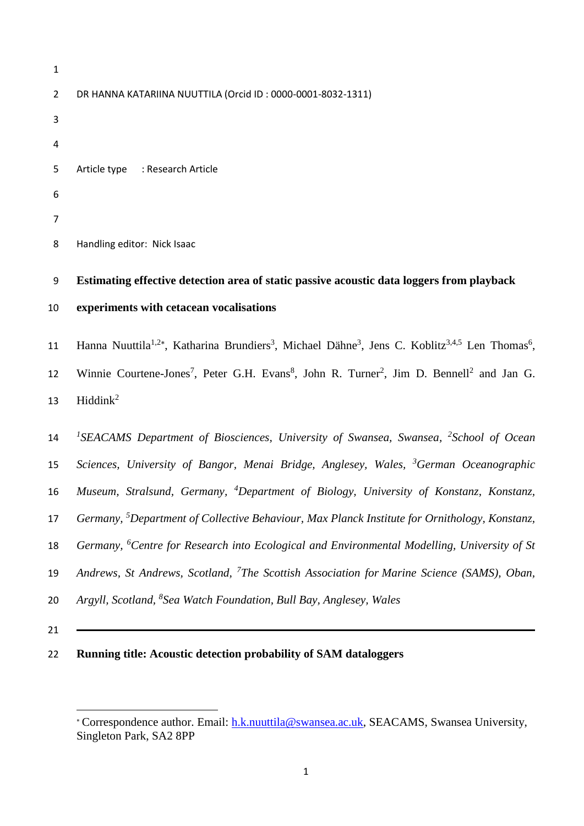```
1
2 DR HANNA KATARIINA NUUTTILA (Orcid ID : 0000-0001-8032-1311)
3
4
5 Article type : Research Article
6
7
8 Handling editor: Nick Isaac
```
# **Estimating effective detection area of static passive acoustic data loggers from playback experiments with cetacean vocalisations**

11 Hanna Nuuttila<sup>1,2\*</sup>, Katharina Brundiers<sup>3</sup>, Michael Dähne<sup>3</sup>, Jens C. Koblitz<sup>3,4,5</sup> Len Thomas<sup>6</sup>, 12 Winnie Courtene-Jones<sup>7</sup>, Peter G.H. Evans<sup>8</sup>, John R. Turner<sup>2</sup>, Jim D. Bennell<sup>2</sup> and Jan G. Hiddink<sup>2</sup> 

14 <sup>1</sup>SEACAMS Department of Biosciences, University of Swansea, Swansea, <sup>2</sup>School of Ocean *Sciences, University of Bangor, Menai Bridge, Anglesey, Wales, <sup>3</sup> German Oceanographic*  16 Museum, Stralsund, Germany, <sup>4</sup>Department of Biology, University of Konstanz, Konstanz, *Germany, <sup>5</sup> Department of Collective Behaviour, Max Planck Institute for Ornithology, Konstanz,*  18 Germany, <sup>6</sup>Centre for Research into Ecological and Environmental Modelling, University of St 19 Andrews, St Andrews, Scotland, <sup>7</sup>The Scottish Association for Marine Science (SAMS), Oban, *Argyll, Scotland, <sup>8</sup>Sea Watch Foundation, Bull Bay, Anglesey, Wales* 

# **Running title: Acoustic detection probability of SAM dataloggers**

Correspondence author. Email: [h.k.nuuttila@swansea.ac.uk,](mailto:h.k.nuuttila@swansea.ac.uk) SEACAMS, Swansea University, Singleton Park, SA2 8PP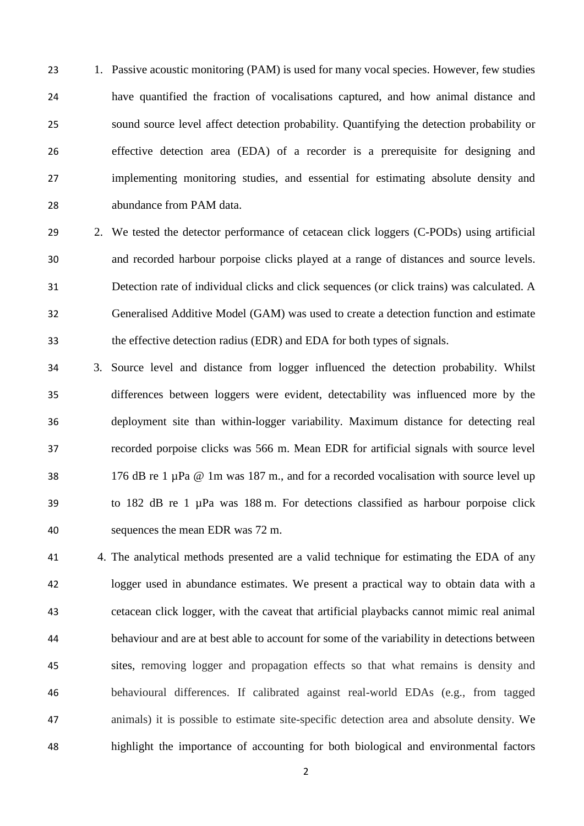23 1. Passive acoustic monitoring (PAM) is used for many vocal species. However, few studies have quantified the fraction of vocalisations captured, and how animal distance and sound source level affect detection probability. Quantifying the detection probability or effective detection area (EDA) of a recorder is a prerequisite for designing and implementing monitoring studies, and essential for estimating absolute density and abundance from PAM data.

- 29 2. We tested the detector performance of cetacean click loggers (C-PODs) using artificial and recorded harbour porpoise clicks played at a range of distances and source levels. Detection rate of individual clicks and click sequences (or click trains) was calculated. A Generalised Additive Model (GAM) was used to create a detection function and estimate the effective detection radius (EDR) and EDA for both types of signals.
- 3. Source level and distance from logger influenced the detection probability. Whilst differences between loggers were evident, detectability was influenced more by the deployment site than within-logger variability. Maximum distance for detecting real recorded porpoise clicks was 566 m. Mean EDR for artificial signals with source level 38 176 dB re 1  $\mu$ Pa @ 1m was 187 m., and for a recorded vocalisation with source level up to 182 dB re 1 µPa was 188 m. For detections classified as harbour porpoise click sequences the mean EDR was 72 m.
- 4. The analytical methods presented are a valid technique for estimating the EDA of any logger used in abundance estimates. We present a practical way to obtain data with a cetacean click logger, with the caveat that artificial playbacks cannot mimic real animal behaviour and are at best able to account for some of the variability in detections between sites, removing logger and propagation effects so that what remains is density and behavioural differences. If calibrated against real-world EDAs (e.g., from tagged animals) it is possible to estimate site-specific detection area and absolute density. We highlight the importance of accounting for both biological and environmental factors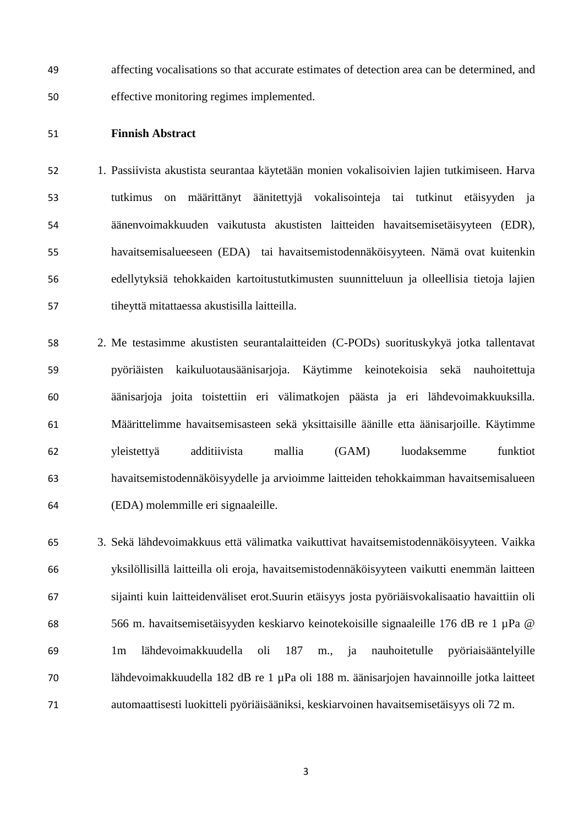affecting vocalisations so that accurate estimates of detection area can be determined, and effective monitoring regimes implemented.

# **Finnish Abstract**

 1. Passiivista akustista seurantaa käytetään monien vokalisoivien lajien tutkimiseen. Harva tutkimus on määrittänyt äänitettyjä vokalisointeja tai tutkinut etäisyyden ja äänenvoimakkuuden vaikutusta akustisten laitteiden havaitsemisetäisyyteen (EDR), havaitsemisalueeseen (EDA) tai havaitsemistodennäköisyyteen. Nämä ovat kuitenkin edellytyksiä tehokkaiden kartoitustutkimusten suunnitteluun ja olleellisia tietoja lajien tiheyttä mitattaessa akustisilla laitteilla.

 2. Me testasimme akustisten seurantalaitteiden (C-PODs) suorituskykyä jotka tallentavat pyöriäisten kaikuluotausäänisarjoja. Käytimme keinotekoisia sekä nauhoitettuja äänisarjoja joita toistettiin eri välimatkojen päästa ja eri lähdevoimakkuuksilla. Määrittelimme havaitsemisasteen sekä yksittaisille äänille etta äänisarjoille. Käytimme yleistettyä additiivista mallia (GAM) luodaksemme funktiot havaitsemistodennäköisyydelle ja arvioimme laitteiden tehokkaimman havaitsemisalueen (EDA) molemmille eri signaaleille.

 3. Sekä lähdevoimakkuus että välimatka vaikuttivat havaitsemistodennäköisyyteen. Vaikka yksilöllisillä laitteilla oli eroja, havaitsemistodennäköisyyteen vaikutti enemmän laitteen sijainti kuin laitteidenväliset erot.Suurin etäisyys josta pyöriäisvokalisaatio havaittiin oli 566 m. havaitsemisetäisyyden keskiarvo keinotekoisille signaaleille 176 dB re 1 µPa @ 1m lähdevoimakkuudella oli 187 m., ja nauhoitetulle pyöriaisääntelyille lähdevoimakkuudella 182 dB re 1 µPa oli 188 m. äänisarjojen havainnoille jotka laitteet automaattisesti luokitteli pyöriäisääniksi, keskiarvoinen havaitsemisetäisyys oli 72 m.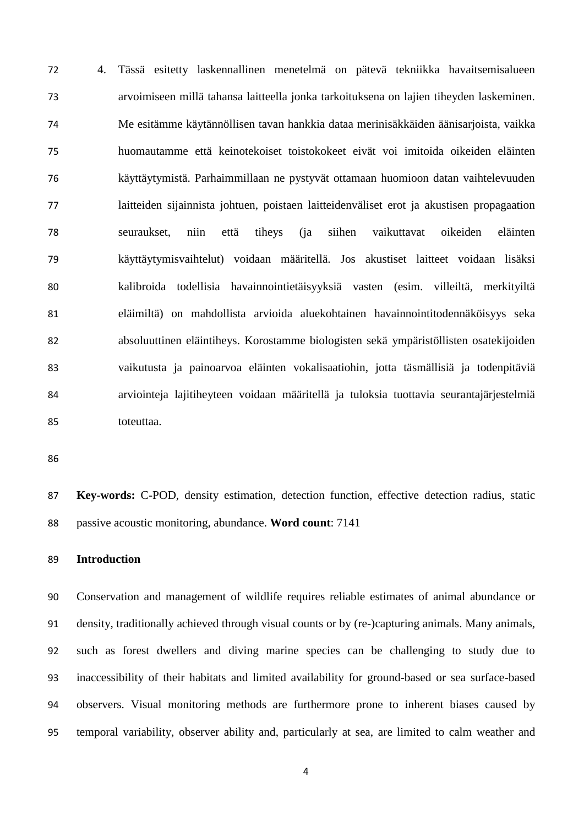4. Tässä esitetty laskennallinen menetelmä on pätevä tekniikka havaitsemisalueen arvoimiseen millä tahansa laitteella jonka tarkoituksena on lajien tiheyden laskeminen. Me esitämme käytännöllisen tavan hankkia dataa merinisäkkäiden äänisarjoista, vaikka huomautamme että keinotekoiset toistokokeet eivät voi imitoida oikeiden eläinten käyttäytymistä. Parhaimmillaan ne pystyvät ottamaan huomioon datan vaihtelevuuden laitteiden sijainnista johtuen, poistaen laitteidenväliset erot ja akustisen propagaation seuraukset, niin että tiheys (ja siihen vaikuttavat oikeiden eläinten käyttäytymisvaihtelut) voidaan määritellä. Jos akustiset laitteet voidaan lisäksi kalibroida todellisia havainnointietäisyyksiä vasten (esim. villeiltä, merkityiltä eläimiltä) on mahdollista arvioida aluekohtainen havainnointitodennäköisyys seka absoluuttinen eläintiheys. Korostamme biologisten sekä ympäristöllisten osatekijoiden vaikutusta ja painoarvoa eläinten vokalisaatiohin, jotta täsmällisiä ja todenpitäviä arviointeja lajitiheyteen voidaan määritellä ja tuloksia tuottavia seurantajärjestelmiä toteuttaa.

 **Key-words:** C-POD, density estimation, detection function, effective detection radius, static passive acoustic monitoring, abundance. **Word count**: 7141

# **Introduction**

 Conservation and management of wildlife requires reliable estimates of animal abundance or density, traditionally achieved through visual counts or by (re-)capturing animals. Many animals, such as forest dwellers and diving marine species can be challenging to study due to inaccessibility of their habitats and limited availability for ground-based or sea surface-based observers. Visual monitoring methods are furthermore prone to inherent biases caused by temporal variability, observer ability and, particularly at sea, are limited to calm weather and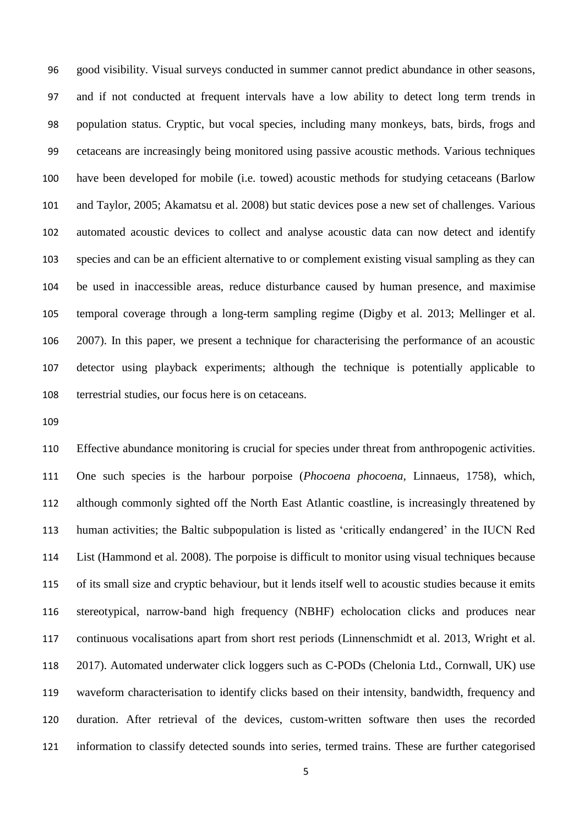good visibility. Visual surveys conducted in summer cannot predict abundance in other seasons, and if not conducted at frequent intervals have a low ability to detect long term trends in population status. Cryptic, but vocal species, including many monkeys, bats, birds, frogs and cetaceans are increasingly being monitored using passive acoustic methods. Various techniques have been developed for mobile (i.e. towed) acoustic methods for studying cetaceans (Barlow and Taylor, 2005; Akamatsu et al. 2008) but static devices pose a new set of challenges. Various automated acoustic devices to collect and analyse acoustic data can now detect and identify species and can be an efficient alternative to or complement existing visual sampling as they can be used in inaccessible areas, reduce disturbance caused by human presence, and maximise temporal coverage through a long-term sampling regime (Digby et al. 2013; Mellinger et al. 2007). In this paper, we present a technique for characterising the performance of an acoustic detector using playback experiments; although the technique is potentially applicable to terrestrial studies, our focus here is on cetaceans.

 Effective abundance monitoring is crucial for species under threat from anthropogenic activities. One such species is the harbour porpoise (*Phocoena phocoena*, Linnaeus, 1758), which, although commonly sighted off the North East Atlantic coastline, is increasingly threatened by human activities; the Baltic subpopulation is listed as 'critically endangered' in the IUCN Red List (Hammond et al. 2008). The porpoise is difficult to monitor using visual techniques because of its small size and cryptic behaviour, but it lends itself well to acoustic studies because it emits stereotypical, narrow-band high frequency (NBHF) echolocation clicks and produces near continuous vocalisations apart from short rest periods (Linnenschmidt et al. 2013, Wright et al. 2017). Automated underwater click loggers such as C-PODs (Chelonia Ltd., Cornwall, UK) use waveform characterisation to identify clicks based on their intensity, bandwidth, frequency and duration. After retrieval of the devices, custom-written software then uses the recorded information to classify detected sounds into series, termed trains. These are further categorised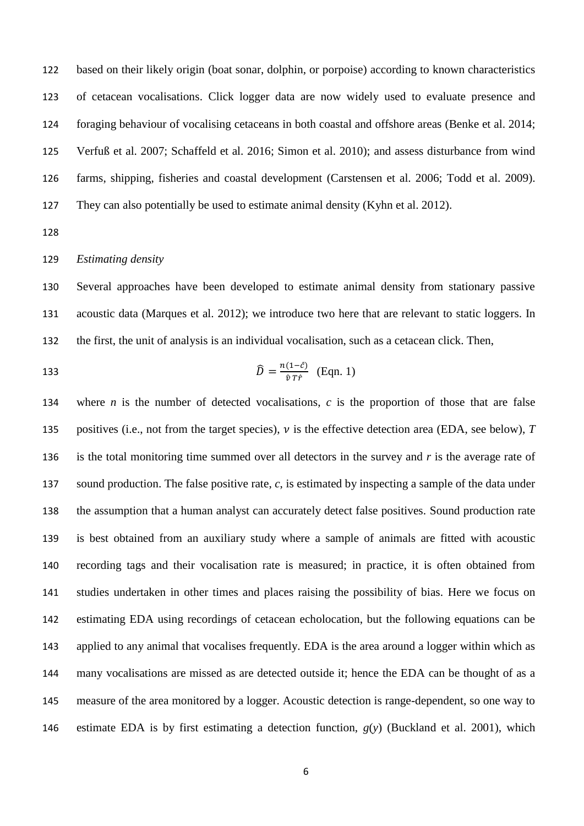based on their likely origin (boat sonar, dolphin, or porpoise) according to known characteristics of cetacean vocalisations. Click logger data are now widely used to evaluate presence and foraging behaviour of vocalising cetaceans in both coastal and offshore areas (Benke et al. 2014; Verfuß et al. 2007; Schaffeld et al. 2016; Simon et al. 2010); and assess disturbance from wind farms, shipping, fisheries and coastal development (Carstensen et al. 2006; Todd et al. 2009). They can also potentially be used to estimate animal density (Kyhn et al. 2012).

# *Estimating density*

 Several approaches have been developed to estimate animal density from stationary passive acoustic data (Marques et al. 2012); we introduce two here that are relevant to static loggers. In the first, the unit of analysis is an individual vocalisation, such as a cetacean click. Then,

133 
$$
\widehat{D} = \frac{n(1-\widehat{c})}{\widehat{v}T\widehat{r}} \quad \text{(Eqn. 1)}
$$

 where *n* is the number of detected vocalisations, *c* is the proportion of those that are false 135 positives (i.e., not from the target species),  $\nu$  is the effective detection area (EDA, see below),  $T$ 136 is the total monitoring time summed over all detectors in the survey and  $r$  is the average rate of sound production. The false positive rate, *c*, is estimated by inspecting a sample of the data under the assumption that a human analyst can accurately detect false positives. Sound production rate is best obtained from an auxiliary study where a sample of animals are fitted with acoustic recording tags and their vocalisation rate is measured; in practice, it is often obtained from studies undertaken in other times and places raising the possibility of bias. Here we focus on estimating EDA using recordings of cetacean echolocation, but the following equations can be applied to any animal that vocalises frequently. EDA is the area around a logger within which as many vocalisations are missed as are detected outside it; hence the EDA can be thought of as a measure of the area monitored by a logger. Acoustic detection is range-dependent, so one way to estimate EDA is by first estimating a detection function, *g*(*y*) (Buckland et al. 2001), which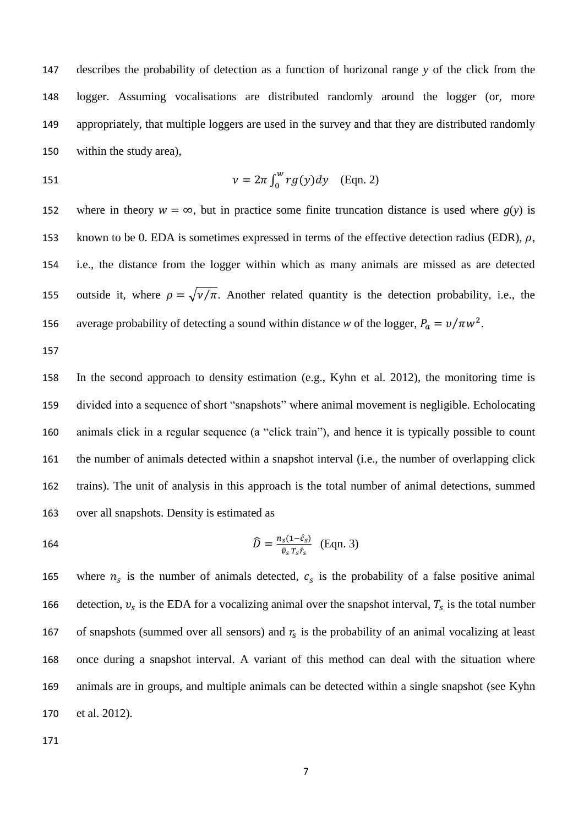describes the probability of detection as a function of horizonal range *y* of the click from the logger. Assuming vocalisations are distributed randomly around the logger (or, more appropriately, that multiple loggers are used in the survey and that they are distributed randomly within the study area),

$$
\nu = 2\pi \int_0^w r g(y) dy \quad \text{(Eqn. 2)}
$$

152 where in theory  $w = \infty$ , but in practice some finite truncation distance is used where  $g(y)$  is 153 known to be 0. EDA is sometimes expressed in terms of the effective detection radius (EDR),  $\rho$ , i.e., the distance from the logger within which as many animals are missed as are detected 155 outside it, where  $\rho = \sqrt{\nu / \pi}$ . Another related quantity is the detection probability, i.e., the 156 average probability of detecting a sound within distance *w* of the logger,  $P_a = v/\pi w^2$ .

 In the second approach to density estimation (e.g., Kyhn et al. 2012), the monitoring time is divided into a sequence of short "snapshots" where animal movement is negligible. Echolocating animals click in a regular sequence (a "click train"), and hence it is typically possible to count the number of animals detected within a snapshot interval (i.e., the number of overlapping click trains). The unit of analysis in this approach is the total number of animal detections, summed over all snapshots. Density is estimated as

$$
\widehat{D} = \frac{n_s(1-\hat{c}_s)}{\hat{v}_s T_s \hat{r}_s} \quad \text{(Eqn. 3)}
$$

165 where  $n_s$  is the number of animals detected,  $c_s$  is the probability of a false positive animal 166 detection,  $v_s$  is the EDA for a vocalizing animal over the snapshot interval,  $T_s$  is the total number 167 of snapshots (summed over all sensors) and  $r<sub>s</sub>$  is the probability of an animal vocalizing at least once during a snapshot interval. A variant of this method can deal with the situation where animals are in groups, and multiple animals can be detected within a single snapshot (see Kyhn et al. 2012).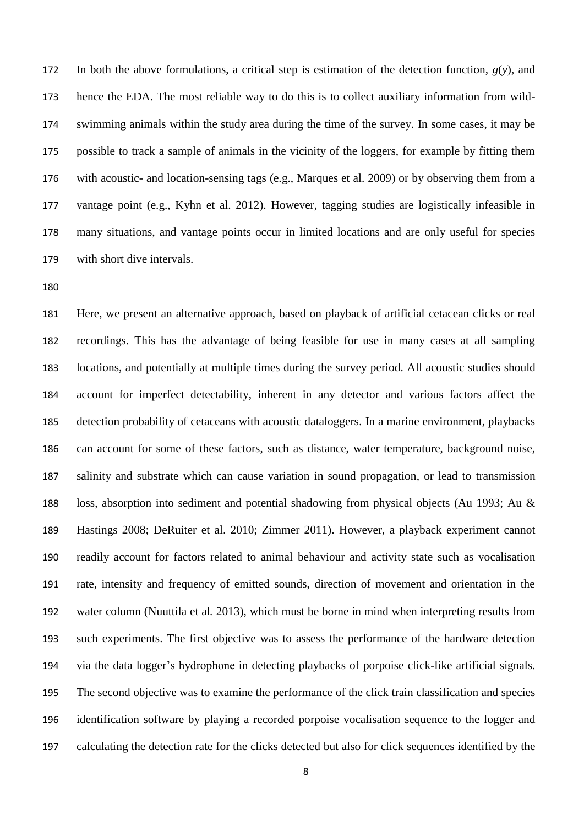172 In both the above formulations, a critical step is estimation of the detection function,  $g(y)$ , and hence the EDA. The most reliable way to do this is to collect auxiliary information from wild- swimming animals within the study area during the time of the survey. In some cases, it may be possible to track a sample of animals in the vicinity of the loggers, for example by fitting them with acoustic- and location-sensing tags (e.g., Marques et al. 2009) or by observing them from a vantage point (e.g., Kyhn et al. 2012). However, tagging studies are logistically infeasible in many situations, and vantage points occur in limited locations and are only useful for species with short dive intervals.

 Here, we present an alternative approach, based on playback of artificial cetacean clicks or real recordings. This has the advantage of being feasible for use in many cases at all sampling locations, and potentially at multiple times during the survey period. All acoustic studies should account for imperfect detectability, inherent in any detector and various factors affect the detection probability of cetaceans with acoustic dataloggers. In a marine environment, playbacks can account for some of these factors, such as distance, water temperature, background noise, salinity and substrate which can cause variation in sound propagation, or lead to transmission loss, absorption into sediment and potential shadowing from physical objects (Au 1993; Au & Hastings 2008; DeRuiter et al. 2010; Zimmer 2011). However, a playback experiment cannot readily account for factors related to animal behaviour and activity state such as vocalisation rate, intensity and frequency of emitted sounds, direction of movement and orientation in the water column (Nuuttila et al*.* 2013), which must be borne in mind when interpreting results from such experiments. The first objective was to assess the performance of the hardware detection via the data logger's hydrophone in detecting playbacks of porpoise click-like artificial signals. The second objective was to examine the performance of the click train classification and species identification software by playing a recorded porpoise vocalisation sequence to the logger and calculating the detection rate for the clicks detected but also for click sequences identified by the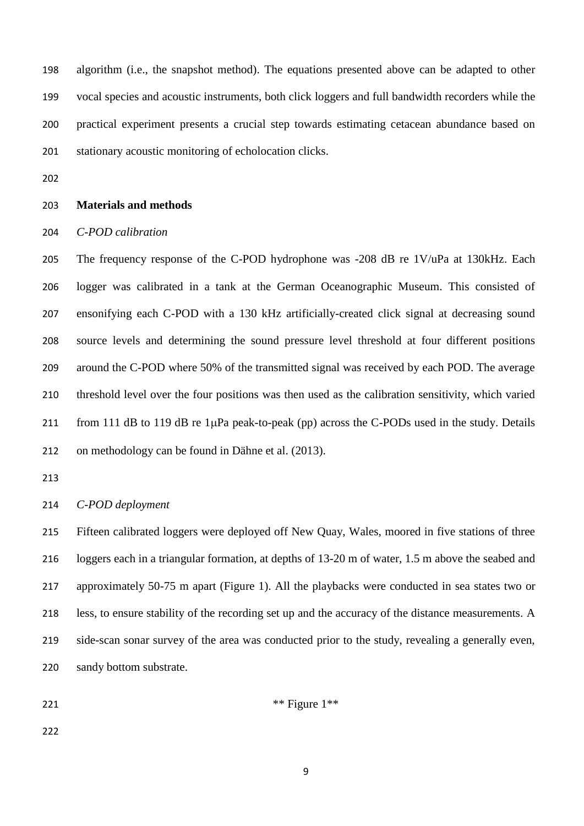algorithm (i.e., the snapshot method). The equations presented above can be adapted to other vocal species and acoustic instruments, both click loggers and full bandwidth recorders while the practical experiment presents a crucial step towards estimating cetacean abundance based on stationary acoustic monitoring of echolocation clicks.

# **Materials and methods**

*C-POD calibration*

 The frequency response of the C-POD hydrophone was -208 dB re 1V/uPa at 130kHz. Each logger was calibrated in a tank at the German Oceanographic Museum. This consisted of ensonifying each C-POD with a 130 kHz artificially-created click signal at decreasing sound source levels and determining the sound pressure level threshold at four different positions around the C-POD where 50% of the transmitted signal was received by each POD. The average threshold level over the four positions was then used as the calibration sensitivity, which varied 211 from 111 dB to 119 dB re  $1\mu$ Pa peak-to-peak (pp) across the C-PODs used in the study. Details on methodology can be found in Dähne et al. (2013).

# *C-POD deployment*

 Fifteen calibrated loggers were deployed off New Quay, Wales, moored in five stations of three loggers each in a triangular formation, at depths of 13-20 m of water, 1.5 m above the seabed and approximately 50-75 m apart (Figure 1). All the playbacks were conducted in sea states two or less, to ensure stability of the recording set up and the accuracy of the distance measurements. A side-scan sonar survey of the area was conducted prior to the study, revealing a generally even, sandy bottom substrate.

221  $***$  Figure 1\*\*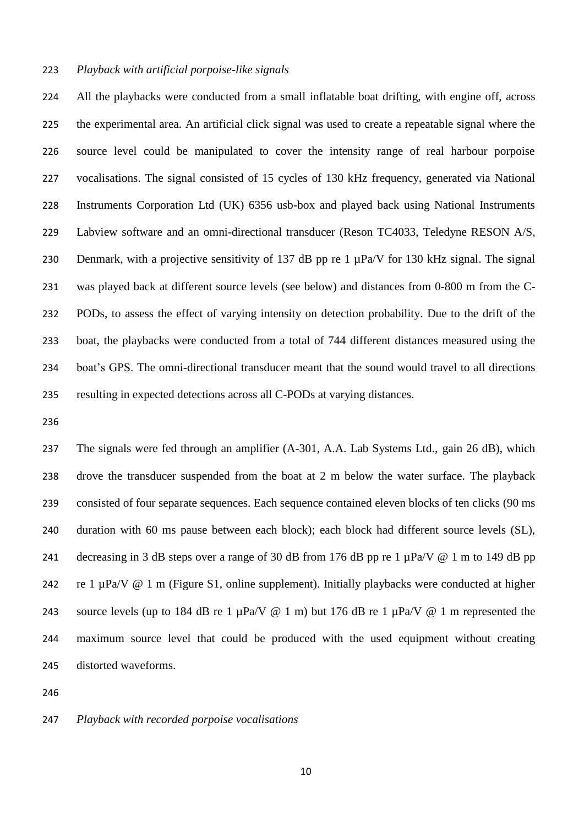# *Playback with artificial porpoise-like signals*

 All the playbacks were conducted from a small inflatable boat drifting, with engine off, across the experimental area. An artificial click signal was used to create a repeatable signal where the source level could be manipulated to cover the intensity range of real harbour porpoise vocalisations. The signal consisted of 15 cycles of 130 kHz frequency, generated via National Instruments Corporation Ltd (UK) 6356 usb-box and played back using National Instruments Labview software and an omni-directional transducer (Reson TC4033, Teledyne RESON A/S, 230 Denmark, with a projective sensitivity of 137 dB pp re 1  $\mu$ Pa/V for 130 kHz signal. The signal was played back at different source levels (see below) and distances from 0-800 m from the C- PODs, to assess the effect of varying intensity on detection probability. Due to the drift of the boat, the playbacks were conducted from a total of 744 different distances measured using the boat's GPS. The omni-directional transducer meant that the sound would travel to all directions resulting in expected detections across all C-PODs at varying distances.

 The signals were fed through an amplifier (A-301, A.A. Lab Systems Ltd., gain 26 dB), which drove the transducer suspended from the boat at 2 m below the water surface. The playback consisted of four separate sequences. Each sequence contained eleven blocks of ten clicks (90 ms duration with 60 ms pause between each block); each block had different source levels (SL), 241 decreasing in 3 dB steps over a range of 30 dB from 176 dB pp re 1  $\mu$ Pa/V @ 1 m to 149 dB pp 242 re 1  $\mu$ Pa/V @ 1 m (Figure S1, online supplement). Initially playbacks were conducted at higher 243 source levels (up to 184 dB re 1  $\mu$ Pa/V @ 1 m) but 176 dB re 1  $\mu$ Pa/V @ 1 m represented the maximum source level that could be produced with the used equipment without creating distorted waveforms.

# *Playback with recorded porpoise vocalisations*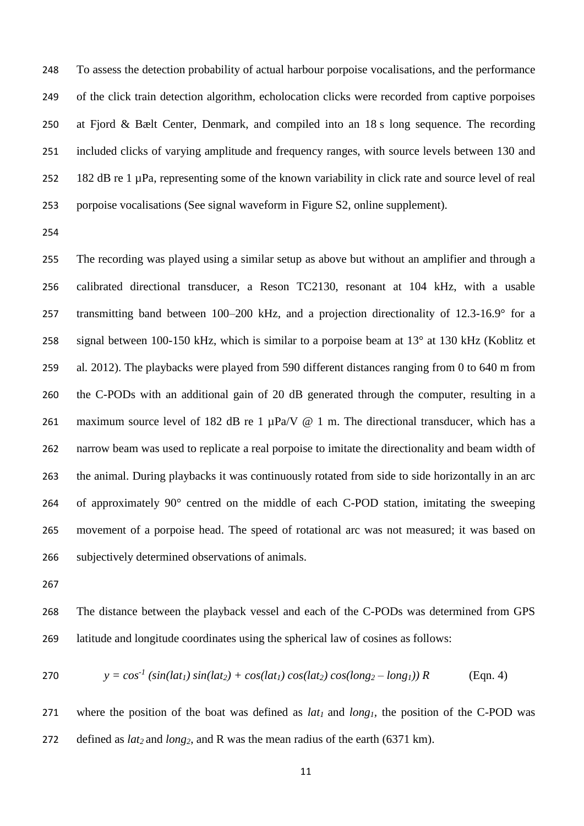To assess the detection probability of actual harbour porpoise vocalisations, and the performance of the click train detection algorithm, echolocation clicks were recorded from captive porpoises at Fjord & Bælt Center, Denmark, and compiled into an 18 s long sequence. The recording included clicks of varying amplitude and frequency ranges, with source levels between 130 and 182 dB re 1 µPa, representing some of the known variability in click rate and source level of real porpoise vocalisations (See signal waveform in Figure S2, online supplement).

 The recording was played using a similar setup as above but without an amplifier and through a calibrated directional transducer, a Reson TC2130, resonant at 104 kHz, with a usable transmitting band between 100–200 kHz, and a projection directionality of 12.3-16.9° for a signal between 100-150 kHz, which is similar to a porpoise beam at 13° at 130 kHz (Koblitz et al*.* 2012). The playbacks were played from 590 different distances ranging from 0 to 640 m from the C-PODs with an additional gain of 20 dB generated through the computer, resulting in a 261 maximum source level of 182 dB re 1  $\mu$ Pa/V @ 1 m. The directional transducer, which has a narrow beam was used to replicate a real porpoise to imitate the directionality and beam width of the animal. During playbacks it was continuously rotated from side to side horizontally in an arc of approximately 90° centred on the middle of each C-POD station, imitating the sweeping movement of a porpoise head. The speed of rotational arc was not measured; it was based on subjectively determined observations of animals.

 The distance between the playback vessel and each of the C-PODs was determined from GPS latitude and longitude coordinates using the spherical law of cosines as follows:

$$
270 \t y = cos-1 (sin(lat1) sin(lat2) + cos(lat1) cos(lat2) cos(long2 – long1)) R \t (Eqn. 4)
$$

 where the position of the boat was defined as *lat<sup>1</sup>* and *long1,* the position of the C-POD was defined as *lat<sup>2</sup>* and *long2*, and R was the mean radius of the earth (6371 km).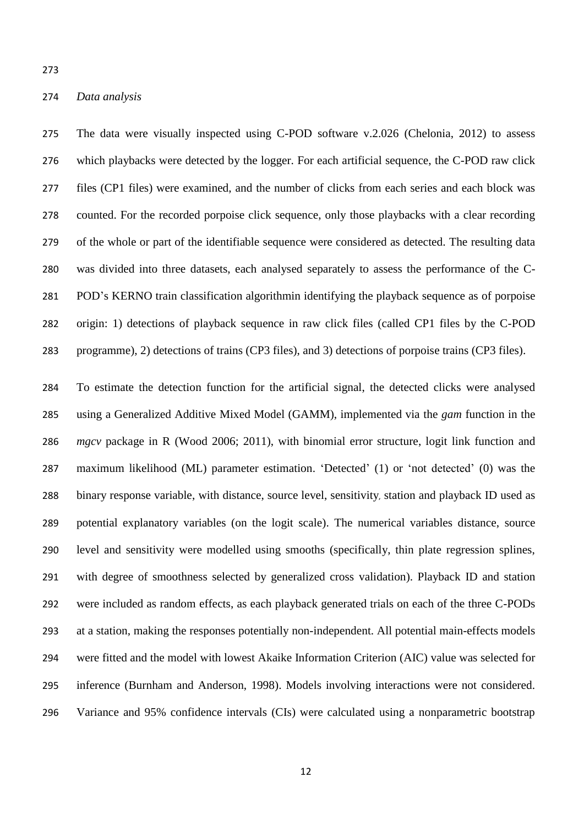#### *Data analysis*

 The data were visually inspected using C-POD software v.2.026 (Chelonia, 2012) to assess which playbacks were detected by the logger. For each artificial sequence, the C-POD raw click files (CP1 files) were examined, and the number of clicks from each series and each block was counted. For the recorded porpoise click sequence, only those playbacks with a clear recording of the whole or part of the identifiable sequence were considered as detected. The resulting data was divided into three datasets, each analysed separately to assess the performance of the C- POD's KERNO train classification algorithmin identifying the playback sequence as of porpoise origin: 1) detections of playback sequence in raw click files (called CP1 files by the C-POD programme), 2) detections of trains (CP3 files), and 3) detections of porpoise trains (CP3 files).

 To estimate the detection function for the artificial signal, the detected clicks were analysed using a Generalized Additive Mixed Model (GAMM), implemented via the *gam* function in the *mgcv* package in R (Wood 2006; 2011), with binomial error structure, logit link function and maximum likelihood (ML) parameter estimation. 'Detected' (1) or 'not detected' (0) was the binary response variable, with distance, source level, sensitivity, station and playback ID used as potential explanatory variables (on the logit scale). The numerical variables distance, source level and sensitivity were modelled using smooths (specifically, thin plate regression splines, with degree of smoothness selected by generalized cross validation). Playback ID and station were included as random effects, as each playback generated trials on each of the three C-PODs at a station, making the responses potentially non-independent. All potential main-effects models were fitted and the model with lowest Akaike Information Criterion (AIC) value was selected for inference (Burnham and Anderson, 1998). Models involving interactions were not considered. Variance and 95% confidence intervals (CIs) were calculated using a nonparametric bootstrap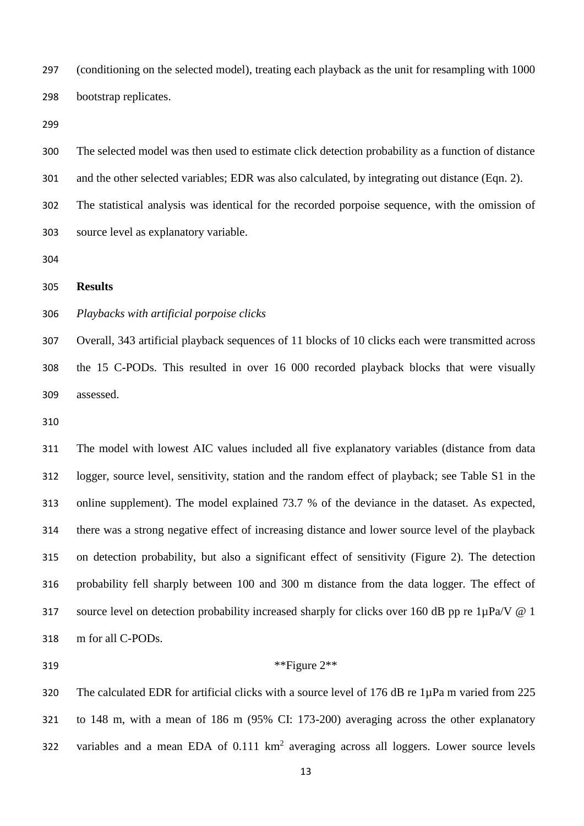(conditioning on the selected model), treating each playback as the unit for resampling with 1000 bootstrap replicates.

 The selected model was then used to estimate click detection probability as a function of distance 301 and the other selected variables; EDR was also calculated, by integrating out distance (Eqn. 2).

The statistical analysis was identical for the recorded porpoise sequence, with the omission of

# **Results**

# *Playbacks with artificial porpoise clicks*

source level as explanatory variable.

 Overall, 343 artificial playback sequences of 11 blocks of 10 clicks each were transmitted across the 15 C-PODs. This resulted in over 16 000 recorded playback blocks that were visually assessed.

 The model with lowest AIC values included all five explanatory variables (distance from data logger, source level, sensitivity, station and the random effect of playback; see Table S1 in the online supplement). The model explained 73.7 % of the deviance in the dataset. As expected, there was a strong negative effect of increasing distance and lower source level of the playback on detection probability, but also a significant effect of sensitivity (Figure 2). The detection probability fell sharply between 100 and 300 m distance from the data logger. The effect of 317 source level on detection probability increased sharply for clicks over 160 dB pp re 1µPa/V @ 1 m for all C-PODs.

# 319  $***$ Figure 2 $**$

320 The calculated EDR for artificial clicks with a source level of 176 dB re 1uPa m varied from 225 to 148 m, with a mean of 186 m (95% CI: 173-200) averaging across the other explanatory 322 variables and a mean EDA of  $0.111 \text{ km}^2$  averaging across all loggers. Lower source levels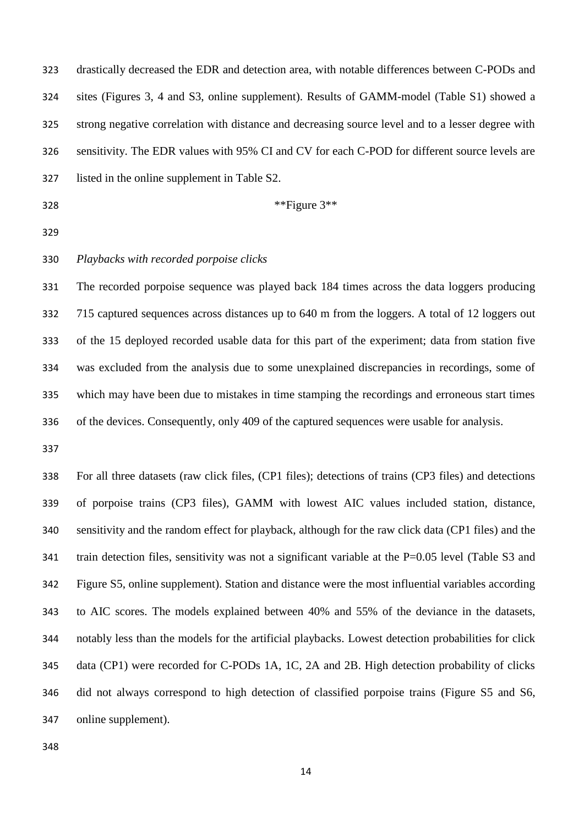| 323 | drastically decreased the EDR and detection area, with notable differences between C-PODs and         |
|-----|-------------------------------------------------------------------------------------------------------|
| 324 | sites (Figures 3, 4 and S3, online supplement). Results of GAMM-model (Table S1) showed a             |
| 325 | strong negative correlation with distance and decreasing source level and to a lesser degree with     |
| 326 | sensitivity. The EDR values with 95% CI and CV for each C-POD for different source levels are         |
| 327 | listed in the online supplement in Table S2.                                                          |
| 328 | **Figure 3**                                                                                          |
| 329 |                                                                                                       |
| 330 | Playbacks with recorded porpoise clicks                                                               |
| 331 | The recorded porpoise sequence was played back 184 times across the data loggers producing            |
| 332 | 715 captured sequences across distances up to 640 m from the loggers. A total of 12 loggers out       |
| 333 | of the 15 deployed recorded usable data for this part of the experiment; data from station five       |
| 334 | was excluded from the analysis due to some unexplained discrepancies in recordings, some of           |
| 335 | which may have been due to mistakes in time stamping the recordings and erroneous start times         |
| 336 | of the devices. Consequently, only 409 of the captured sequences were usable for analysis.            |
| 337 |                                                                                                       |
| 338 | For all three datasets (raw click files, (CP1 files); detections of trains (CP3 files) and detections |
| 339 | of porpoise trains (CP3 files), GAMM with lowest AIC values included station, distance,               |
| 340 | sensitivity and the random effect for playback, although for the raw click data (CP1 files) and the   |
| 341 | train detection files, sensitivity was not a significant variable at the $P=0.05$ level (Table S3 and |
| 342 | Figure S5, online supplement). Station and distance were the most influential variables according     |
| 343 | to AIC scores. The models explained between 40% and 55% of the deviance in the datasets,              |
| 344 | notably less than the models for the artificial playbacks. Lowest detection probabilities for click   |
| 345 | data (CP1) were recorded for C-PODs 1A, 1C, 2A and 2B. High detection probability of clicks           |
| 346 | did not always correspond to high detection of classified porpoise trains (Figure S5 and S6,          |
| 347 | online supplement).                                                                                   |
| 348 |                                                                                                       |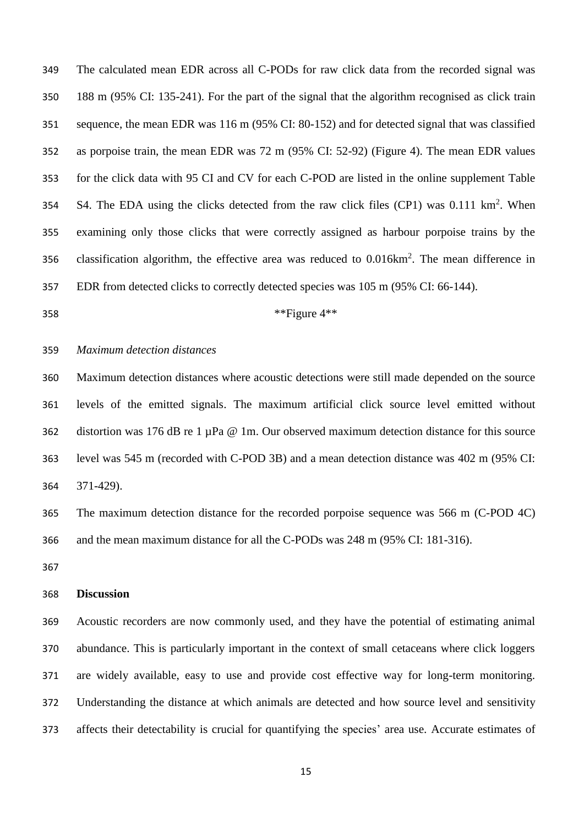The calculated mean EDR across all C-PODs for raw click data from the recorded signal was 188 m (95% CI: 135-241). For the part of the signal that the algorithm recognised as click train sequence, the mean EDR was 116 m (95% CI: 80-152) and for detected signal that was classified as porpoise train, the mean EDR was 72 m (95% CI: 52-92) (Figure 4). The mean EDR values for the click data with 95 CI and CV for each C-POD are listed in the online supplement Table 354 S4. The EDA using the clicks detected from the raw click files  $(CP1)$  was 0.111 km<sup>2</sup>. When examining only those clicks that were correctly assigned as harbour porpoise trains by the 356 classification algorithm, the effective area was reduced to  $0.016 \text{km}^2$ . The mean difference in EDR from detected clicks to correctly detected species was 105 m (95% CI: 66-144).

\*\*Figure 4\*\*

# *Maximum detection distances*

 Maximum detection distances where acoustic detections were still made depended on the source levels of the emitted signals. The maximum artificial click source level emitted without distortion was 176 dB re 1 µPa @ 1m. Our observed maximum detection distance for this source level was 545 m (recorded with C-POD 3B) and a mean detection distance was 402 m (95% CI: 371-429).

 The maximum detection distance for the recorded porpoise sequence was 566 m (C-POD 4C) and the mean maximum distance for all the C-PODs was 248 m (95% CI: 181-316).

#### **Discussion**

 Acoustic recorders are now commonly used, and they have the potential of estimating animal abundance. This is particularly important in the context of small cetaceans where click loggers are widely available, easy to use and provide cost effective way for long-term monitoring. Understanding the distance at which animals are detected and how source level and sensitivity affects their detectability is crucial for quantifying the species' area use. Accurate estimates of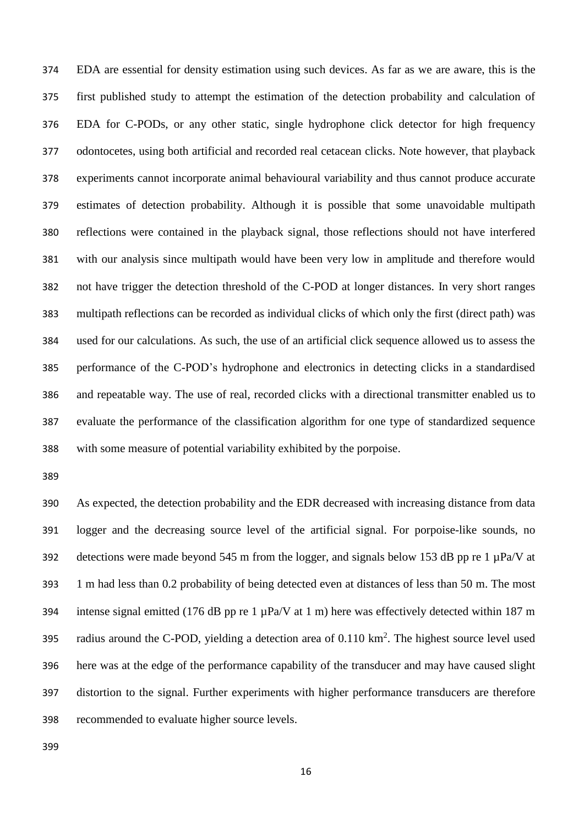EDA are essential for density estimation using such devices. As far as we are aware, this is the first published study to attempt the estimation of the detection probability and calculation of EDA for C-PODs, or any other static, single hydrophone click detector for high frequency odontocetes, using both artificial and recorded real cetacean clicks. Note however, that playback experiments cannot incorporate animal behavioural variability and thus cannot produce accurate estimates of detection probability. Although it is possible that some unavoidable multipath reflections were contained in the playback signal, those reflections should not have interfered with our analysis since multipath would have been very low in amplitude and therefore would not have trigger the detection threshold of the C-POD at longer distances. In very short ranges multipath reflections can be recorded as individual clicks of which only the first (direct path) was used for our calculations. As such, the use of an artificial click sequence allowed us to assess the performance of the C-POD's hydrophone and electronics in detecting clicks in a standardised and repeatable way. The use of real, recorded clicks with a directional transmitter enabled us to evaluate the performance of the classification algorithm for one type of standardized sequence with some measure of potential variability exhibited by the porpoise.

 As expected, the detection probability and the EDR decreased with increasing distance from data logger and the decreasing source level of the artificial signal. For porpoise-like sounds, no 392 detections were made beyond 545 m from the logger, and signals below 153 dB pp re 1  $\mu$ Pa/V at 1 m had less than 0.2 probability of being detected even at distances of less than 50 m. The most 394 intense signal emitted (176 dB pp re 1  $\mu$ Pa/V at 1 m) here was effectively detected within 187 m 395 radius around the C-POD, yielding a detection area of  $0.110 \text{ km}^2$ . The highest source level used here was at the edge of the performance capability of the transducer and may have caused slight distortion to the signal. Further experiments with higher performance transducers are therefore recommended to evaluate higher source levels.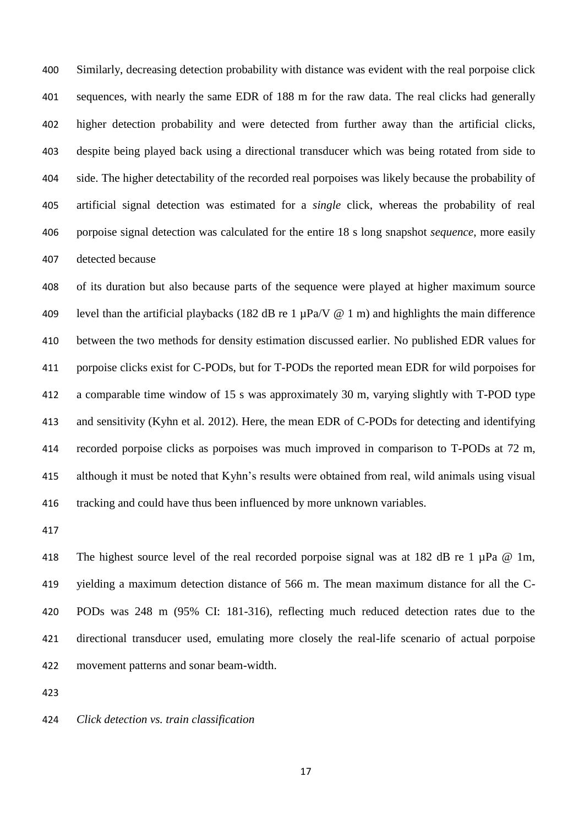Similarly, decreasing detection probability with distance was evident with the real porpoise click sequences, with nearly the same EDR of 188 m for the raw data. The real clicks had generally higher detection probability and were detected from further away than the artificial clicks, despite being played back using a directional transducer which was being rotated from side to side. The higher detectability of the recorded real porpoises was likely because the probability of artificial signal detection was estimated for a *single* click, whereas the probability of real porpoise signal detection was calculated for the entire 18 s long snapshot *sequence*, more easily detected because

 of its duration but also because parts of the sequence were played at higher maximum source 409 level than the artificial playbacks (182 dB re 1  $\mu$ Pa/V @ 1 m) and highlights the main difference between the two methods for density estimation discussed earlier. No published EDR values for porpoise clicks exist for C-PODs, but for T-PODs the reported mean EDR for wild porpoises for a comparable time window of 15 s was approximately 30 m, varying slightly with T-POD type and sensitivity (Kyhn et al*.* 2012). Here, the mean EDR of C-PODs for detecting and identifying recorded porpoise clicks as porpoises was much improved in comparison to T-PODs at 72 m, although it must be noted that Kyhn's results were obtained from real, wild animals using visual tracking and could have thus been influenced by more unknown variables.

418 The highest source level of the real recorded porpoise signal was at 182 dB re 1  $\mu$ Pa @ 1m, yielding a maximum detection distance of 566 m. The mean maximum distance for all the C- PODs was 248 m (95% CI: 181-316), reflecting much reduced detection rates due to the directional transducer used, emulating more closely the real-life scenario of actual porpoise movement patterns and sonar beam-width.

*Click detection vs. train classification*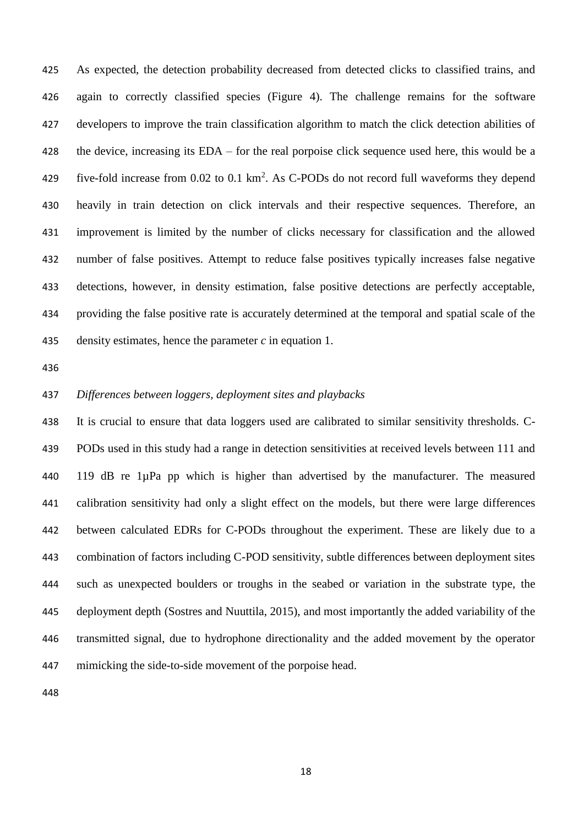As expected, the detection probability decreased from detected clicks to classified trains, and again to correctly classified species (Figure 4). The challenge remains for the software developers to improve the train classification algorithm to match the click detection abilities of the device, increasing its EDA – for the real porpoise click sequence used here, this would be a 429 five-fold increase from  $0.02$  to  $0.1 \text{ km}^2$ . As C-PODs do not record full waveforms they depend heavily in train detection on click intervals and their respective sequences. Therefore, an improvement is limited by the number of clicks necessary for classification and the allowed number of false positives. Attempt to reduce false positives typically increases false negative detections, however, in density estimation, false positive detections are perfectly acceptable, providing the false positive rate is accurately determined at the temporal and spatial scale of the density estimates, hence the parameter *c* in equation 1.

# *Differences between loggers, deployment sites and playbacks*

 It is crucial to ensure that data loggers used are calibrated to similar sensitivity thresholds. C- PODs used in this study had a range in detection sensitivities at received levels between 111 and 119 dB re 1µPa pp which is higher than advertised by the manufacturer. The measured calibration sensitivity had only a slight effect on the models, but there were large differences between calculated EDRs for C-PODs throughout the experiment. These are likely due to a combination of factors including C-POD sensitivity, subtle differences between deployment sites such as unexpected boulders or troughs in the seabed or variation in the substrate type, the deployment depth (Sostres and Nuuttila, 2015), and most importantly the added variability of the transmitted signal, due to hydrophone directionality and the added movement by the operator mimicking the side-to-side movement of the porpoise head.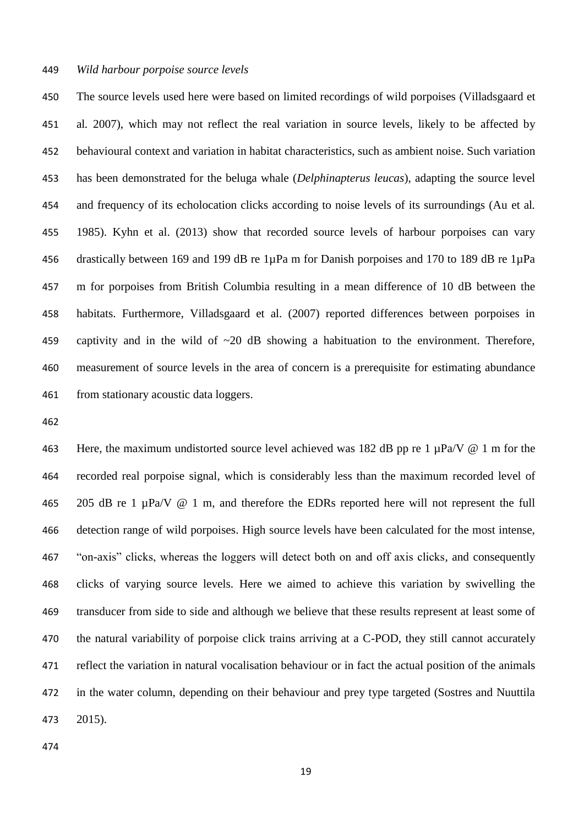#### *Wild harbour porpoise source levels*

 The source levels used here were based on limited recordings of wild porpoises (Villadsgaard et al*.* 2007), which may not reflect the real variation in source levels, likely to be affected by behavioural context and variation in habitat characteristics, such as ambient noise. Such variation has been demonstrated for the beluga whale (*Delphinapterus leucas*), adapting the source level and frequency of its echolocation clicks according to noise levels of its surroundings (Au et al*.* 1985). Kyhn et al. (2013) show that recorded source levels of harbour porpoises can vary drastically between 169 and 199 dB re 1µPa m for Danish porpoises and 170 to 189 dB re 1µPa m for porpoises from British Columbia resulting in a mean difference of 10 dB between the habitats. Furthermore, Villadsgaard et al. (2007) reported differences between porpoises in captivity and in the wild of ~20 dB showing a habituation to the environment. Therefore, measurement of source levels in the area of concern is a prerequisite for estimating abundance from stationary acoustic data loggers.

463 Here, the maximum undistorted source level achieved was 182 dB pp re 1  $\mu$ Pa/V @ 1 m for the recorded real porpoise signal, which is considerably less than the maximum recorded level of 205 dB re 1 µPa/V @ 1 m, and therefore the EDRs reported here will not represent the full detection range of wild porpoises. High source levels have been calculated for the most intense, "on-axis" clicks, whereas the loggers will detect both on and off axis clicks, and consequently clicks of varying source levels. Here we aimed to achieve this variation by swivelling the transducer from side to side and although we believe that these results represent at least some of the natural variability of porpoise click trains arriving at a C-POD, they still cannot accurately reflect the variation in natural vocalisation behaviour or in fact the actual position of the animals in the water column, depending on their behaviour and prey type targeted (Sostres and Nuuttila 2015).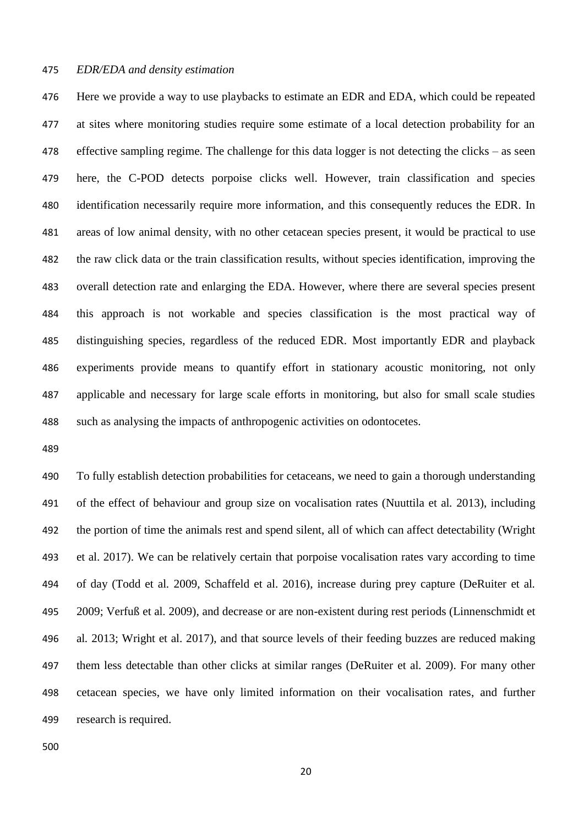#### *EDR/EDA and density estimation*

 Here we provide a way to use playbacks to estimate an EDR and EDA, which could be repeated at sites where monitoring studies require some estimate of a local detection probability for an effective sampling regime. The challenge for this data logger is not detecting the clicks – as seen here, the C-POD detects porpoise clicks well. However, train classification and species identification necessarily require more information, and this consequently reduces the EDR. In areas of low animal density, with no other cetacean species present, it would be practical to use the raw click data or the train classification results, without species identification, improving the overall detection rate and enlarging the EDA. However, where there are several species present this approach is not workable and species classification is the most practical way of distinguishing species, regardless of the reduced EDR. Most importantly EDR and playback experiments provide means to quantify effort in stationary acoustic monitoring, not only applicable and necessary for large scale efforts in monitoring, but also for small scale studies such as analysing the impacts of anthropogenic activities on odontocetes.

 To fully establish detection probabilities for cetaceans, we need to gain a thorough understanding of the effect of behaviour and group size on vocalisation rates (Nuuttila et al*.* 2013), including the portion of time the animals rest and spend silent, all of which can affect detectability (Wright et al. 2017). We can be relatively certain that porpoise vocalisation rates vary according to time of day (Todd et al*.* 2009, Schaffeld et al. 2016), increase during prey capture (DeRuiter et al*.* 2009; Verfuß et al*.* 2009), and decrease or are non-existent during rest periods (Linnenschmidt et al*.* 2013; Wright et al. 2017), and that source levels of their feeding buzzes are reduced making them less detectable than other clicks at similar ranges (DeRuiter et al*.* 2009). For many other cetacean species, we have only limited information on their vocalisation rates, and further research is required.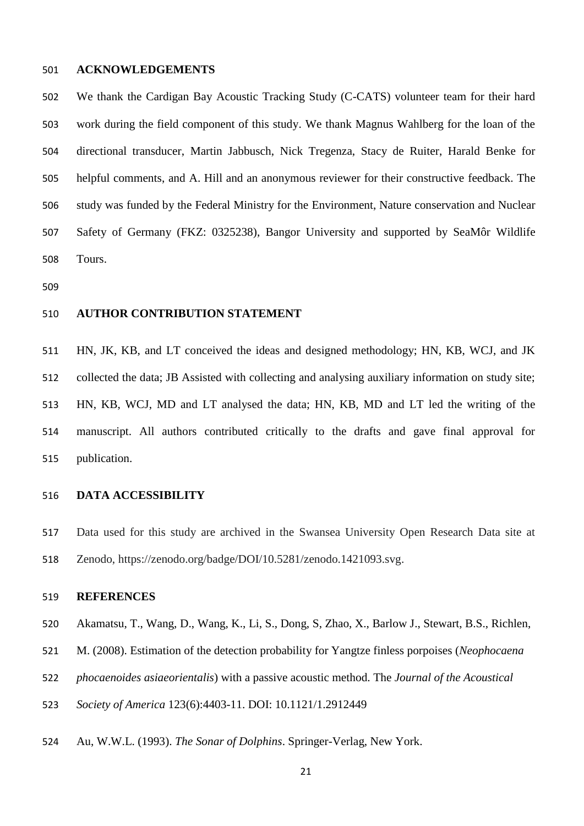# **ACKNOWLEDGEMENTS**

 We thank the Cardigan Bay Acoustic Tracking Study (C-CATS) volunteer team for their hard work during the field component of this study. We thank Magnus Wahlberg for the loan of the directional transducer, Martin Jabbusch, Nick Tregenza, Stacy de Ruiter, Harald Benke for helpful comments, and A. Hill and an anonymous reviewer for their constructive feedback. The study was funded by the Federal Ministry for the Environment, Nature conservation and Nuclear Safety of Germany (FKZ: 0325238), Bangor University and supported by SeaMôr Wildlife Tours.

# **AUTHOR CONTRIBUTION STATEMENT**

 HN, JK, KB, and LT conceived the ideas and designed methodology; HN, KB, WCJ, and JK collected the data; JB Assisted with collecting and analysing auxiliary information on study site; HN, KB, WCJ, MD and LT analysed the data; HN, KB, MD and LT led the writing of the manuscript. All authors contributed critically to the drafts and gave final approval for publication.

# **DATA ACCESSIBILITY**

 Data used for this study are archived in the Swansea University Open Research Data site at Zenodo, https://zenodo.org/badge/DOI/10.5281/zenodo.1421093.svg.

# **REFERENCES**

- Akamatsu, T., Wang, D., Wang, K., Li, S., Dong, S, Zhao, X., Barlow J., Stewart, B.S., Richlen,
- M. (2008). Estimation of the detection probability for Yangtze finless porpoises (*Neophocaena*
- *phocaenoides asiaeorientalis*) with a passive acoustic method. The *Journal of the Acoustical*
- *Society of America* 123(6):4403-11. DOI: 10.1121/1.2912449
- Au, W.W.L. (1993). *The Sonar of Dolphins*. Springer-Verlag, New York.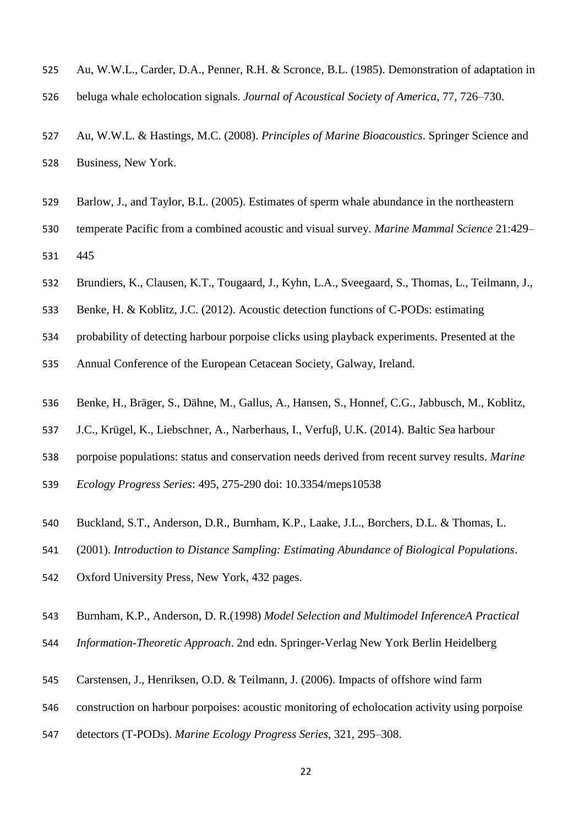- Au, W.W.L., Carder, D.A., Penner, R.H. & Scronce, B.L. (1985). Demonstration of adaptation in
- beluga whale echolocation signals. *Journal of Acoustical Society of America*, 77, 726–730.
- Au, W.W.L. & Hastings, M.C. (2008). *Principles of Marine Bioacoustics*. Springer Science and Business, New York.
- Barlow, J., and Taylor, B.L. (2005). Estimates of sperm whale abundance in the northeastern
- temperate Pacific from a combined acoustic and visual survey. *Marine Mammal Science* 21:429– 445
- Brundiers, K., Clausen, K.T., Tougaard, J., Kyhn, L.A., Sveegaard, S., Thomas, L., Teilmann, J.,
- Benke, H. & Koblitz, J.C. (2012). Acoustic detection functions of C-PODs: estimating
- probability of detecting harbour porpoise clicks using playback experiments. Presented at the
- Annual Conference of the European Cetacean Society, Galway, Ireland.
- Benke, H., Bräger, S., Dähne, M., Gallus, A., Hansen, S., Honnef, C.G., Jabbusch, M., Koblitz,
- J.C., Krügel, K., Liebschner, A., Narberhaus, I., Verfuβ, U.K. (2014). Baltic Sea harbour
- porpoise populations: status and conservation needs derived from recent survey results. *Marine*
- *Ecology Progress Series*: 495, 275-290 doi: 10.3354/meps10538
- Buckland, S.T., Anderson, D.R., Burnham, K.P., Laake, J.L., Borchers, D.L. & Thomas, L.
- (2001). *Introduction to Distance Sampling: Estimating Abundance of Biological Populations*.
- Oxford University Press, New York, 432 pages.
- Burnham, K.P., Anderson, D. R.(1998) *Model Selection and Multimodel InferenceA Practical*
- *Information-Theoretic Approach*. 2nd edn. Springer-Verlag New York Berlin Heidelberg
- Carstensen, J., Henriksen, O.D. & Teilmann, J. (2006). Impacts of offshore wind farm
- construction on harbour porpoises: acoustic monitoring of echolocation activity using porpoise
- detectors (T-PODs). *Marine Ecology Progress Series*, 321, 295–308.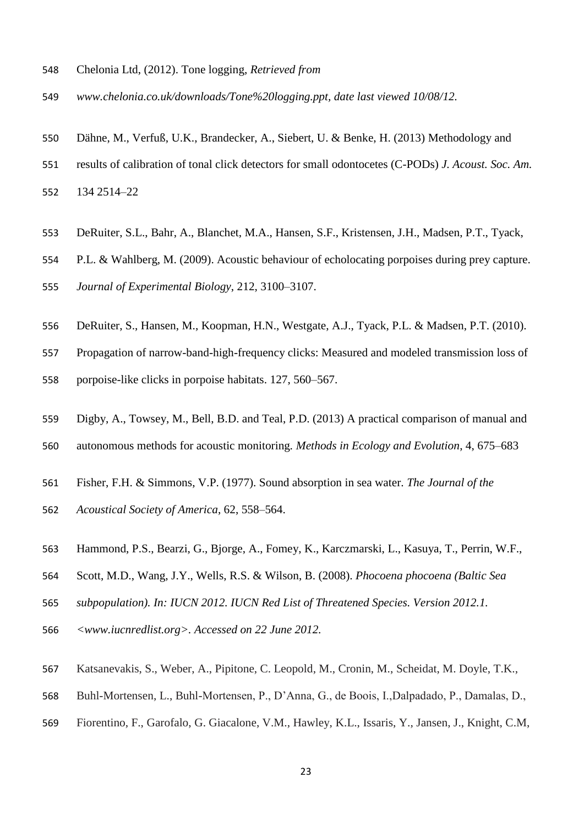- Chelonia Ltd, (2012). Tone logging, *Retrieved from*
- *www.chelonia.co.uk/downloads/Tone%20logging.ppt, date last viewed 10/08/12.*
- Dähne, M., Verfuß, U.K., Brandecker, A., Siebert, U. & Benke, H. (2013) Methodology and
- results of calibration of tonal click detectors for small odontocetes (C-PODs) *J. Acoust. Soc. Am.*
- 134 2514–22
- DeRuiter, S.L., Bahr, A., Blanchet, M.A., Hansen, S.F., Kristensen, J.H., Madsen, P.T., Tyack,
- P.L. & Wahlberg, M. (2009). Acoustic behaviour of echolocating porpoises during prey capture.
- *Journal of Experimental Biology*, 212, 3100–3107.
- DeRuiter, S., Hansen, M., Koopman, H.N., Westgate, A.J., Tyack, P.L. & Madsen, P.T. (2010).
- Propagation of narrow-band-high-frequency clicks: Measured and modeled transmission loss of
- porpoise-like clicks in porpoise habitats. 127, 560–567.
- Digby, A., Towsey, M., Bell, B.D. and Teal, P.D. (2013) A practical comparison of manual and
- autonomous methods for acoustic monitoring*. Methods in Ecology and Evolution*, 4, 675–683
- Fisher, F.H. & Simmons, V.P. (1977). Sound absorption in sea water. *The Journal of the*
- *Acoustical Society of America*, 62, 558–564.
- Hammond, P.S., Bearzi, G., Bjorge, A., Fomey, K., Karczmarski, L., Kasuya, T., Perrin, W.F.,
- Scott, M.D., Wang, J.Y., Wells, R.S. & Wilson, B. (2008). *Phocoena phocoena (Baltic Sea*
- *subpopulation). In: IUCN 2012. IUCN Red List of Threatened Species. Version 2012.1.*
- *<www.iucnredlist.org>. Accessed on 22 June 2012.*
- Katsanevakis, S., Weber, A., Pipitone, C. Leopold, M., Cronin, M., Scheidat, M. Doyle, T.K.,
- Buhl-Mortensen, L., Buhl-Mortensen, P., D'Anna, G., de Boois, I.,Dalpadado, P., Damalas, D.,
- Fiorentino, F., Garofalo, G. Giacalone, V.M., Hawley, K.L., Issaris, Y., Jansen, J., Knight, C.M,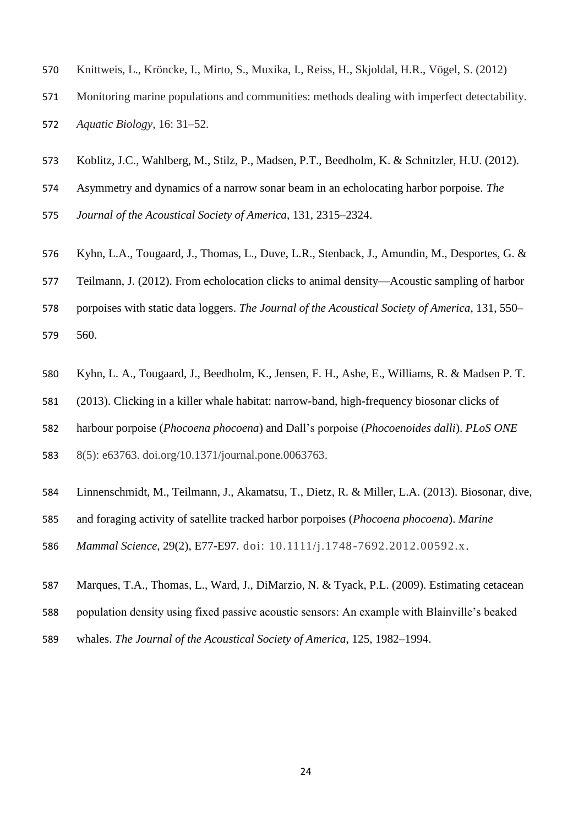- Knittweis, L., Kröncke, I., Mirto, S., Muxika, I., Reiss, H., Skjoldal, H.R., Vögel, S. (2012)
- Monitoring marine populations and communities: methods dealing with imperfect detectability.
- *Aquatic Biology*, 16: 31–52.
- Koblitz, J.C., Wahlberg, M., Stilz, P., Madsen, P.T., Beedholm, K. & Schnitzler, H.U. (2012).
- Asymmetry and dynamics of a narrow sonar beam in an echolocating harbor porpoise. *The*
- *Journal of the Acoustical Society of America*, 131, 2315–2324.
- Kyhn, L.A., Tougaard, J., Thomas, L., Duve, L.R., Stenback, J., Amundin, M., Desportes, G. &
- Teilmann, J. (2012). From echolocation clicks to animal density—Acoustic sampling of harbor
- porpoises with static data loggers. *The Journal of the Acoustical Society of America*, 131, 550– 560.
- Kyhn, L. A., Tougaard, J., Beedholm, K., Jensen, F. H., Ashe, E., Williams, R. & Madsen P. T.
- (2013). Clicking in a killer whale habitat: narrow-band, high-frequency biosonar clicks of
- harbour porpoise (*Phocoena phocoena*) and Dall's porpoise (*Phocoenoides dalli*). *PLoS ONE*
- 8(5): e63763. doi.org/10.1371/journal.pone.0063763.
- Linnenschmidt, M., Teilmann, J., Akamatsu, T., Dietz, R. & Miller, L.A. (2013). Biosonar, dive,
- and foraging activity of satellite tracked harbor porpoises (*Phocoena phocoena*). *Marine*
- *Mammal Science*, 29(2), E77-E97. doi: 10.1111/j.1748-7692.2012.00592.x.
- Marques, T.A., Thomas, L., Ward, J., DiMarzio, N. & Tyack, P.L. (2009). Estimating cetacean
- population density using fixed passive acoustic sensors: An example with Blainville's beaked
- whales. *The Journal of the Acoustical Society of America*, 125, 1982–1994.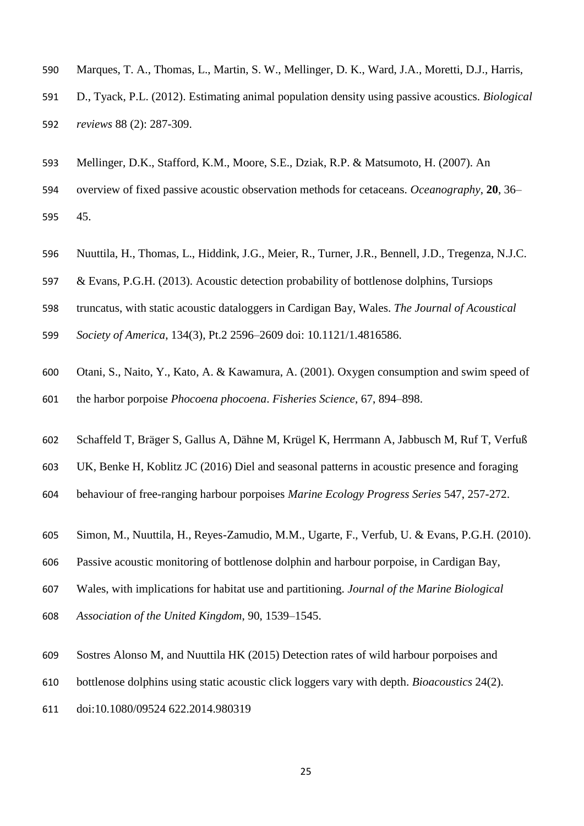- Marques, T. A., Thomas, L., Martin, S. W., Mellinger, D. K., Ward, J.A., Moretti, D.J., Harris,
- D., Tyack, P.L. (2012). Estimating animal population density using passive acoustics. *Biological reviews* 88 (2): 287-309.
- Mellinger, D.K., Stafford, K.M., Moore, S.E., Dziak, R.P. & Matsumoto, H. (2007). An
- overview of fixed passive acoustic observation methods for cetaceans. *Oceanography*, **20**, 36– 45.
- Nuuttila, H., Thomas, L., Hiddink, J.G., Meier, R., Turner, J.R., Bennell, J.D., Tregenza, N.J.C.
- & Evans, P.G.H. (2013). Acoustic detection probability of bottlenose dolphins, Tursiops
- truncatus, with static acoustic dataloggers in Cardigan Bay, Wales. *The Journal of Acoustical*
- *Society of America*, 134(3), Pt.2 2596–2609 doi: 10.1121/1.4816586.
- Otani, S., Naito, Y., Kato, A. & Kawamura, A. (2001). Oxygen consumption and swim speed of the harbor porpoise *Phocoena phocoena*. *Fisheries Science*, 67, 894–898.
- Schaffeld T, Bräger S, Gallus A, Dähne M, Krügel K, Herrmann A, Jabbusch M, Ruf T, Verfuß
- UK, Benke H, Koblitz JC (2016) Diel and seasonal patterns in acoustic presence and foraging
- behaviour of free-ranging harbour porpoises *Marine Ecology Progress Series* 547, 257-272.
- Simon, M., Nuuttila, H., Reyes-Zamudio, M.M., Ugarte, F., Verfub, U. & Evans, P.G.H. (2010).
- Passive acoustic monitoring of bottlenose dolphin and harbour porpoise, in Cardigan Bay,
- Wales, with implications for habitat use and partitioning. *Journal of the Marine Biological*
- *Association of the United Kingdom*, 90, 1539–1545.
- Sostres Alonso M, and Nuuttila HK (2015) Detection rates of wild harbour porpoises and
- bottlenose dolphins using static acoustic click loggers vary with depth. *Bioacoustics* 24(2).
- doi:10.1080/09524 622.2014.980319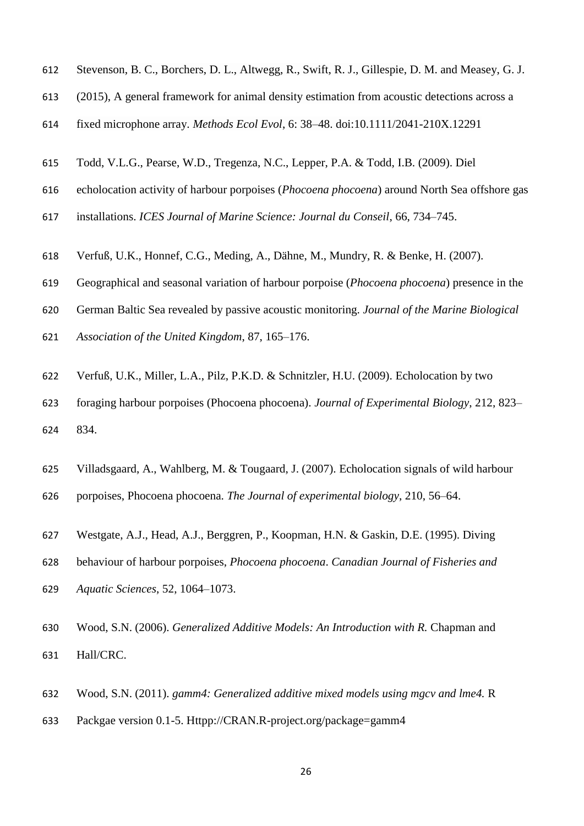- Stevenson, B. C., Borchers, D. L., Altwegg, R., Swift, R. J., Gillespie, D. M. and Measey, G. J.
- (2015), A general framework for animal density estimation from acoustic detections across a
- fixed microphone array. *Methods Ecol Evol*, 6: 38–48. doi:10.1111/2041-210X.12291
- Todd, V.L.G., Pearse, W.D., Tregenza, N.C., Lepper, P.A. & Todd, I.B. (2009). Diel
- echolocation activity of harbour porpoises (*Phocoena phocoena*) around North Sea offshore gas
- installations. *ICES Journal of Marine Science: Journal du Conseil*, 66, 734–745.
- Verfuß, U.K., Honnef, C.G., Meding, A., Dähne, M., Mundry, R. & Benke, H. (2007).
- Geographical and seasonal variation of harbour porpoise (*Phocoena phocoena*) presence in the
- German Baltic Sea revealed by passive acoustic monitoring. *Journal of the Marine Biological*
- *Association of the United Kingdom*, 87, 165–176.
- Verfuß, U.K., Miller, L.A., Pilz, P.K.D. & Schnitzler, H.U. (2009). Echolocation by two
- foraging harbour porpoises (Phocoena phocoena). *Journal of Experimental Biology*, 212, 823– 834.
- Villadsgaard, A., Wahlberg, M. & Tougaard, J. (2007). Echolocation signals of wild harbour
- porpoises, Phocoena phocoena. *The Journal of experimental biology*, 210, 56–64.
- Westgate, A.J., Head, A.J., Berggren, P., Koopman, H.N. & Gaskin, D.E. (1995). Diving
- behaviour of harbour porpoises, *Phocoena phocoena*. *Canadian Journal of Fisheries and*
- *Aquatic Sciences*, 52, 1064–1073.
- Wood, S.N. (2006). *Generalized Additive Models: An Introduction with R.* Chapman and Hall/CRC.
- Wood, S.N. (2011). *gamm4: Generalized additive mixed models using mgcv and lme4.* R
- Packgae version 0.1-5. Httpp://CRAN.R-project.org/package=gamm4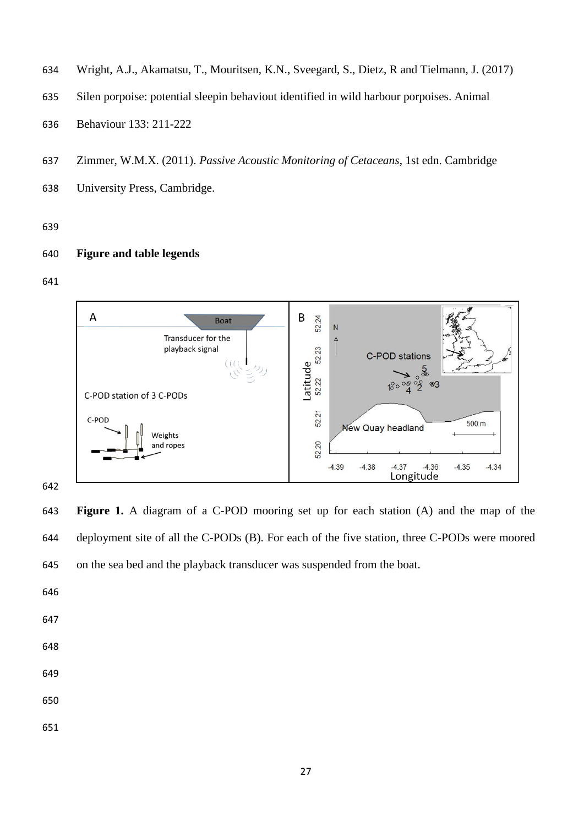- Wright, A.J., Akamatsu, T., Mouritsen, K.N., Sveegard, S., Dietz, R and Tielmann, J. (2017)
- Silen porpoise: potential sleepin behaviout identified in wild harbour porpoises. Animal
- Behaviour 133: 211-222
- Zimmer, W.M.X. (2011). *Passive Acoustic Monitoring of Cetaceans*, 1st edn. Cambridge
- University Press, Cambridge.

#### 

# **Figure and table legends**

#### 



 **Figure 1.** A diagram of a C-POD mooring set up for each station (A) and the map of the deployment site of all the C-PODs (B). For each of the five station, three C-PODs were moored on the sea bed and the playback transducer was suspended from the boat.

- 
- 
- 
- 
-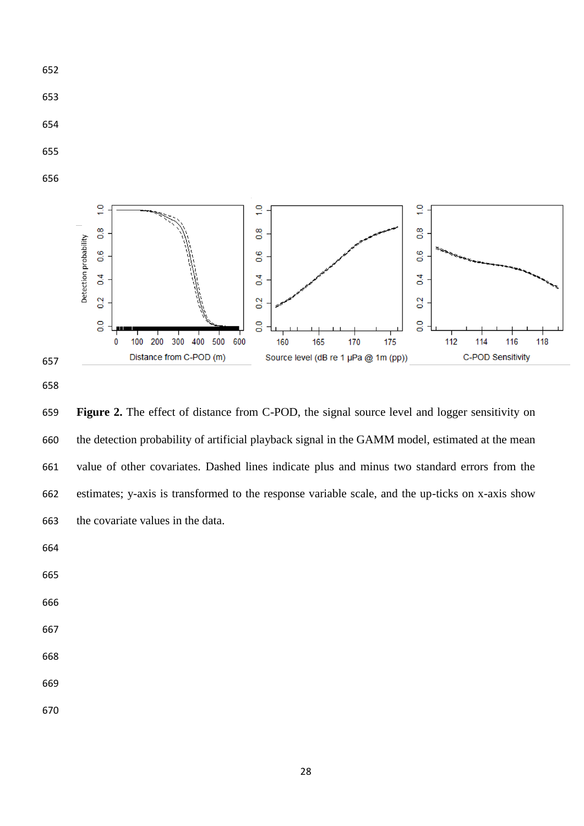

- 
- 
- 
- 





 **Figure 2.** The effect of distance from C-POD, the signal source level and logger sensitivity on the detection probability of artificial playback signal in the GAMM model, estimated at the mean value of other covariates. Dashed lines indicate plus and minus two standard errors from the estimates; y-axis is transformed to the response variable scale, and the up-ticks on x-axis show the covariate values in the data.

- 
- 
- 
- 
- 
- 
-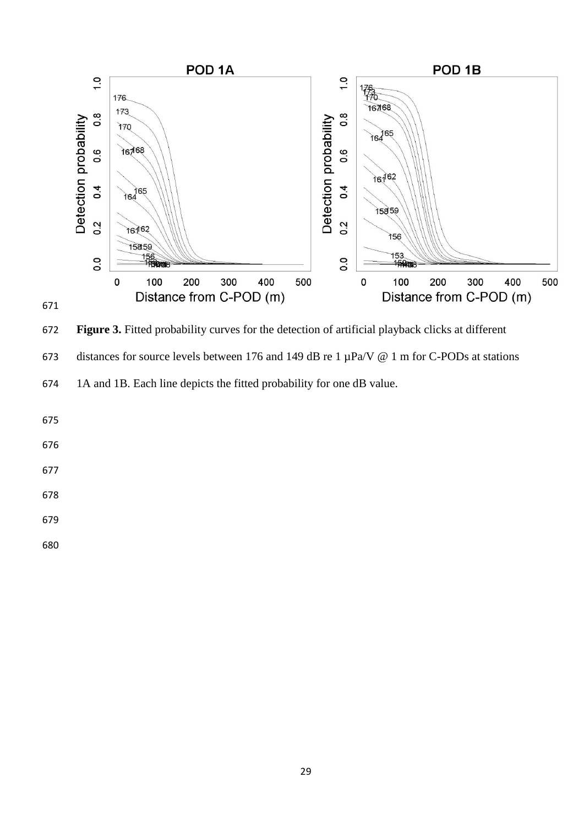

**Figure 3.** Fitted probability curves for the detection of artificial playback clicks at different

673 distances for source levels between 176 and 149 dB re 1  $\mu$ Pa/V @ 1 m for C-PODs at stations

1A and 1B. Each line depicts the fitted probability for one dB value.